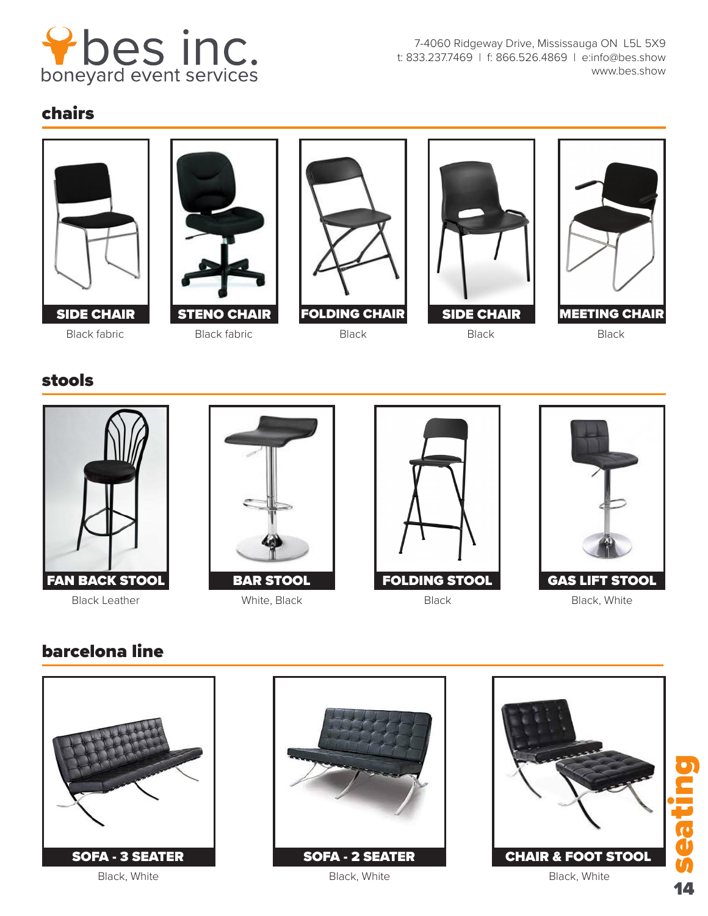

7-4060 Ridgeway Drive, Mississauga ON L5L 5X9 t: 833.237.7469 | f: 866.526.4869 | e:info@bes.show www.bes.show

## chairs











## stools









## barcelona line